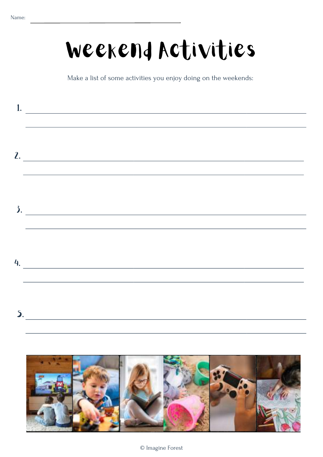### Weekend Activities

Make a list of some activities you enjoy doing on the weekends:

| $\hbox{1.2cm}$                                                                                                                                                                                                                                                                                                                                                                                                           |
|--------------------------------------------------------------------------------------------------------------------------------------------------------------------------------------------------------------------------------------------------------------------------------------------------------------------------------------------------------------------------------------------------------------------------|
| $\frac{1}{2}$<br><u> 1989 - Andrea Santana, amerikana amerikana amerikana amerikana amerikana amerikana amerikana amerikana amerika</u>                                                                                                                                                                                                                                                                                  |
| $\lambda$ and $\lambda$ and $\lambda$ and $\lambda$ and $\lambda$ and $\lambda$ and $\lambda$ and $\lambda$ and $\lambda$ and $\lambda$ and $\lambda$ and $\lambda$ and $\lambda$ and $\lambda$ and $\lambda$ and $\lambda$ and $\lambda$ and $\lambda$ and $\lambda$ and $\lambda$ and $\lambda$ and $\lambda$ and $\lambda$ and $\lambda$ and $\lambda$<br><u> 1989 - Johann Stoff, amerikansk politiker (d. 1989)</u> |
| 4.                                                                                                                                                                                                                                                                                                                                                                                                                       |
| 5.                                                                                                                                                                                                                                                                                                                                                                                                                       |
|                                                                                                                                                                                                                                                                                                                                                                                                                          |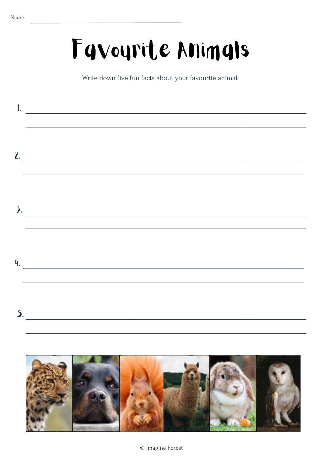**SALE** 

### Favourite Animals

Write down five fun facts about your favourite animal:

|    | $\frac{2}{\sqrt{2\cdot\frac{1}{2}}\cdot\frac{1}{2}}$<br>,我们也不会有什么。""我们的人,我们也不会有什么?""我们的人,我们也不会有什么?""我们的人,我们也不会有什么?""我们的人,我们也不会有什么?""我们的人 |
|----|------------------------------------------------------------------------------------------------------------------------------------------|
|    | $\lambda$ .                                                                                                                              |
| 4. | <u> 1980 - Johann John Stone, markin film yn y brenin y brenin y brenin y brenin y brenin y brenin y brenin y br</u>                     |
|    | $\mathbf{5.}$                                                                                                                            |
|    |                                                                                                                                          |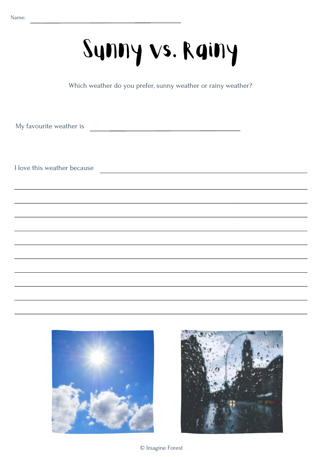## Sunny vs. Rainy

Which weather do you prefer, sunny weather or rainy weather?

My favourite weather is

I love this weather because



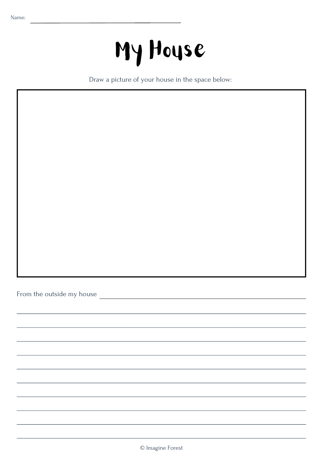## My House

Draw a picture of your house in the space below:

From the outside my house <u>experience and the outside my house</u>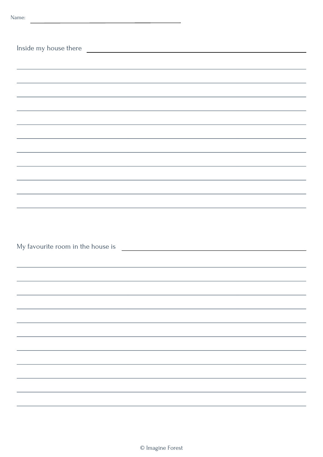| Inside my house there                                                                                                                                                                                                                |  |
|--------------------------------------------------------------------------------------------------------------------------------------------------------------------------------------------------------------------------------------|--|
|                                                                                                                                                                                                                                      |  |
|                                                                                                                                                                                                                                      |  |
|                                                                                                                                                                                                                                      |  |
|                                                                                                                                                                                                                                      |  |
|                                                                                                                                                                                                                                      |  |
|                                                                                                                                                                                                                                      |  |
| ,我们也不会有什么。""我们的人,我们也不会有什么?""我们的人,我们也不会有什么?""我们的人,我们也不会有什么?""我们的人,我们也不会有什么?""我们的人                                                                                                                                                     |  |
|                                                                                                                                                                                                                                      |  |
| <u> 1989 - Andrea Santa Alemania, amerikana amerikana amerikana amerikana amerikana amerikana amerikana amerikan</u>                                                                                                                 |  |
|                                                                                                                                                                                                                                      |  |
|                                                                                                                                                                                                                                      |  |
|                                                                                                                                                                                                                                      |  |
| My favourite room in the house is <u>example and the set of the set of the set of the set of the set of the set of the set of the set of the set of the set of the set of the set of the set of the set of the set of the set of</u> |  |
|                                                                                                                                                                                                                                      |  |
|                                                                                                                                                                                                                                      |  |
|                                                                                                                                                                                                                                      |  |
|                                                                                                                                                                                                                                      |  |
|                                                                                                                                                                                                                                      |  |
|                                                                                                                                                                                                                                      |  |
|                                                                                                                                                                                                                                      |  |
|                                                                                                                                                                                                                                      |  |
|                                                                                                                                                                                                                                      |  |
|                                                                                                                                                                                                                                      |  |
|                                                                                                                                                                                                                                      |  |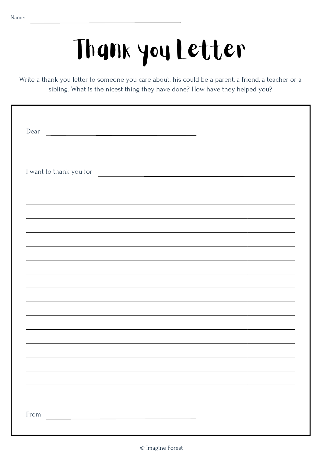# Thank you Letter

Write a thank you letter to someone you care about. his could be a parent, a friend, a teacher or a sibling. What is the nicest thing they have done? How have they helped you?

| Dear<br><u> 1989 - Johann Harry Barn, mars ar breist fan de Amerikaansk kommunent fan de Amerikaanske kommunent fan de A</u> |                                                                                                                      |  |
|------------------------------------------------------------------------------------------------------------------------------|----------------------------------------------------------------------------------------------------------------------|--|
|                                                                                                                              |                                                                                                                      |  |
| I want to thank you for                                                                                                      | <u> Alexandria de la contrada de la contrada de la contrada de la contrada de la contrada de la contrada de la c</u> |  |
|                                                                                                                              |                                                                                                                      |  |
|                                                                                                                              |                                                                                                                      |  |
|                                                                                                                              |                                                                                                                      |  |
|                                                                                                                              |                                                                                                                      |  |
|                                                                                                                              |                                                                                                                      |  |
|                                                                                                                              |                                                                                                                      |  |
|                                                                                                                              |                                                                                                                      |  |
|                                                                                                                              |                                                                                                                      |  |
|                                                                                                                              |                                                                                                                      |  |
|                                                                                                                              |                                                                                                                      |  |
|                                                                                                                              |                                                                                                                      |  |
| From                                                                                                                         |                                                                                                                      |  |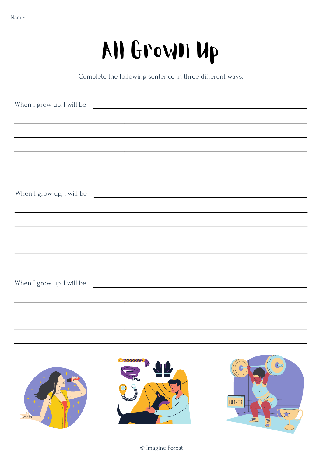### All Grown Up

Complete the following sentence in three different ways.

| When I grow up, I will be                                                                                              |  |
|------------------------------------------------------------------------------------------------------------------------|--|
|                                                                                                                        |  |
| ,我们也不会有什么。""我们的人,我们也不会有什么?""我们的人,我们也不会有什么?""我们的人,我们也不会有什么?""我们的人,我们也不会有什么?""我们的人                                       |  |
|                                                                                                                        |  |
|                                                                                                                        |  |
|                                                                                                                        |  |
| When I grow up, I will be                                                                                              |  |
| <u> 1989 - Andrea Santana, amerikana amerikana amerikana amerikana amerikana amerikana amerikana amerikana amerika</u> |  |
|                                                                                                                        |  |
|                                                                                                                        |  |
|                                                                                                                        |  |
|                                                                                                                        |  |
| When I grow up, I will be                                                                                              |  |
|                                                                                                                        |  |
|                                                                                                                        |  |
|                                                                                                                        |  |
|                                                                                                                        |  |
|                                                                                                                        |  |





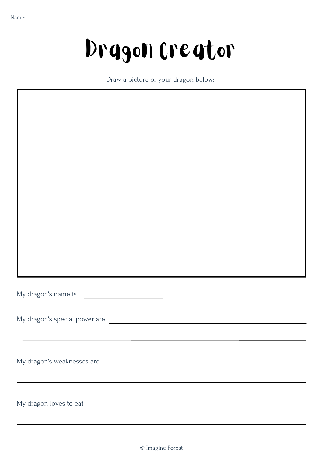### Dragon Creator

Draw a picture of your dragon below:

My dragon's name is **contained a set of the contained and set of the contained and set of the contained and set of the contained and set of the contained and set of the contained and set of the contained and set of the con** 

My dragon's special power are

My dragon's weaknesses are **with all and the contract of the contract of the contract of the contract of the contract of the contract of the contract of the contract of the contract of the contract of the contract of the c** 

My dragon loves to eat <u>example and the set of the set of the set of the set of the set of the set of the set of the set of the set of the set of the set of the set of the set of the set of the set of the set of the set of</u>